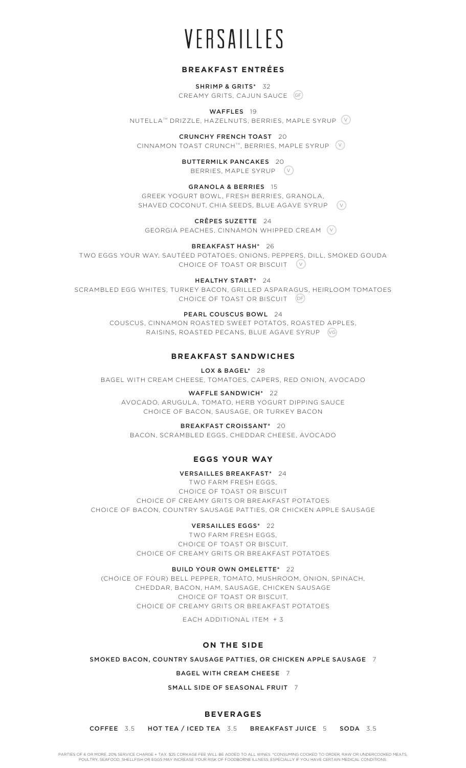# **BREAKFAST ENTRÉES**

SHRIMP & GRITS\* 32 CREAMY GRITS, CAJUN SAUCE GF

WAFFLES 19 NUTELLATM DRIZZLE, HAZELNUTS, BERRIES, MAPLE SYRUP V

CRUNCHY FRENCH TOAST 20 CINNAMON TOAST CRUNCH™, BERRIES, MAPLE SYRUP (V

> BUTTERMILK PANCAKES 20 BERRIES, MAPLE SYRUP  $\left(\vee\right)$

GRANOLA & BERRIES 15 GREEK YOGURT BOWL, FRESH BERRIES, GRANOLA, SHAVED COCONUT, CHIA SEEDS, BLUE AGAVE SYRUP (V

CRÊPES SUZETTE 24

GEORGIA PEACHES, CINNAMON WHIPPED CREAM V

BREAKFAST HASH\* 26

TWO EGGS YOUR WAY, SAUTÉED POTATOES, ONIONS, PEPPERS, DILL, SMOKED GOUDA CHOICE OF TOAST OR BISCUIT (V

HEALTHY START\* 24

SCRAMBLED EGG WHITES, TURKEY BACON, GRILLED ASPARAGUS, HEIRLOOM TOMATOES CHOICE OF TOAST OR BISCUIT DF

PEARL COUSCUS BOWL 24

COUSCUS, CINNAMON ROASTED SWEET POTATOS, ROASTED APPLES, RAISINS, ROASTED PECANS, BLUE AGAVE SYRUP VG

# **BREAKFAST SANDWICHES**

LOX & BAGEL\* 28

BAGEL WITH CREAM CHEESE, TOMATOES, CAPERS, RED ONION, AVOCADO

WAFFLE SANDWICH\* 22

AVOCADO, ARUGULA, TOMATO, HERB YOGURT DIPPING SAUCE CHOICE OF BACON, SAUSAGE, OR TURKEY BACON

BREAKFAST CROISSANT\* 20 BACON, SCRAMBLED EGGS, CHEDDAR CHEESE, AVOCADO

# **EGGS YOUR WAY**

## VERSAILLES BREAKFAST\* 24

TWO FARM FRESH EGGS, CHOICE OF TOAST OR BISCUIT CHOICE OF CREAMY GRITS OR BREAKFAST POTATOES CHOICE OF BACON, COUNTRY SAUSAGE PATTIES, OR CHICKEN APPLE SAUSAGE

# VERSAILLES EGGS\* 22

TWO FARM FRESH EGGS, CHOICE OF TOAST OR BISCUIT, CHOICE OF CREAMY GRITS OR BREAKFAST POTATOES

BUILD YOUR OWN OMELETTE\* 22

(CHOICE OF FOUR) BELL PEPPER, TOMATO, MUSHROOM, ONION, SPINACH, CHEDDAR, BACON, HAM, SAUSAGE, CHICKEN SAUSAGE CHOICE OF TOAST OR BISCUIT, CHOICE OF CREAMY GRITS OR BREAKFAST POTATOES

EACH ADDITIONAL ITEM + 3

# **ON THE SIDE**

SMOKED BACON, COUNTRY SAUSAGE PATTIES, OR CHICKEN APPLE SAUSAGE 7

BAGEL WITH CREAM CHEESE 7

SMALL SIDE OF SEASONAL FRUIT 7

# **BEVERAGES**

COFFEE 3.5 HOT TEA / ICED TEA 3.5 BREAKFAST JUICE 5 SODA 3.5

PARTIES OF 6 OR MORE, 20% SERVICE CHARGE + TAX. \$25 CORKAGE FEE WILL BE ADDED TO ALL WINES. \*CONSUMING COOKED TO ORDER, RAW OR UNDERCOOKED MEATS,<br>POULTRY, SEAFOOD, SHELLFISH OR EGGS MAY INCREASE YOUR RISK OF FOODBORNE ILLN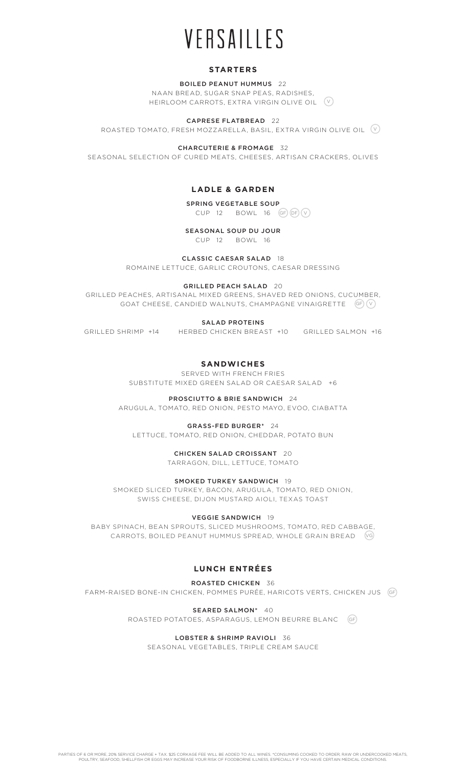# **STARTERS**

BOILED PEANUT HUMMUS 22 NAAN BREAD, SUGAR SNAP PEAS, RADISHES,

HEIRLOOM CARROTS, EXTRA VIRGIN OLIVE OIL V

CAPRESE FLATBREAD 22

ROASTED TOMATO, FRESH MOZZARELLA, BASIL, EXTRA VIRGIN OLIVE OIL  $\;$  ( $\,$ 

CHARCUTERIE & FROMAGE 32

SEASONAL SELECTION OF CURED MEATS, CHEESES, ARTISAN CRACKERS, OLIVES

# **LADLE & GARDEN**

# SPRING VEGETABLE SOUP

 $CUP$  12  $BOWL$  16 (GF)  $(DF)(V)$ 

## SEASONAL SOUP DU JOUR

CUP 12 BOWL 16

## CLASSIC CAESAR SALAD 18

ROMAINE LETTUCE, GARLIC CROUTONS, CAESAR DRESSING

## GRILLED PEACH SALAD 20

GRILLED PEACHES, ARTISANAL MIXED GREENS, SHAVED RED ONIONS, CUCUMBER, GOAT CHEESE, CANDIED WALNUTS, CHAMPAGNE VINAIGRETTE GF V

SALAD PROTEINS

GRILLED SHRIMP +14 HERBED CHICKEN BREAST +10 GRILLED SALMON +16

# **SANDWICHES**

SERVED WITH FRENCH FRIES SUBSTITUTE MIXED GREEN SALAD OR CAESAR SALAD +6

## PROSCIUTTO & BRIE SANDWICH 24

ARUGULA, TOMATO, RED ONION, PESTO MAYO, EVOO, CIABATTA

GRASS-FED BURGER\* 24

LETTUCE, TOMATO, RED ONION, CHEDDAR, POTATO BUN

CHICKEN SALAD CROISSANT 20

TARRAGON, DILL, LETTUCE, TOMATO

## SMOKED TURKEY SANDWICH 19

SMOKED SLICED TURKEY, BACON, ARUGULA, TOMATO, RED ONION, SWISS CHEESE, DIJON MUSTARD AIOLI, TEXAS TOAST

VEGGIE SANDWICH 19

BABY SPINACH, BEAN SPROUTS, SLICED MUSHROOMS, TOMATO, RED CABBAGE, CARROTS, BOILED PEANUT HUMMUS SPREAD, WHOLE GRAIN BREAD VG

# **LUNCH ENTRÉES**

## ROASTED CHICKEN 36

FARM-RAISED BONE-IN CHICKEN, POMMES PURÉE, HARICOTS VERTS, CHICKEN JUS GF

SEARED SALMON\* 40

ROASTED POTATOES, ASPARAGUS, LEMON BEURRE BLANC GF

# LOBSTER & SHRIMP RAVIOLI 36

SEASONAL VEGETABLES, TRIPLE CREAM SAUCE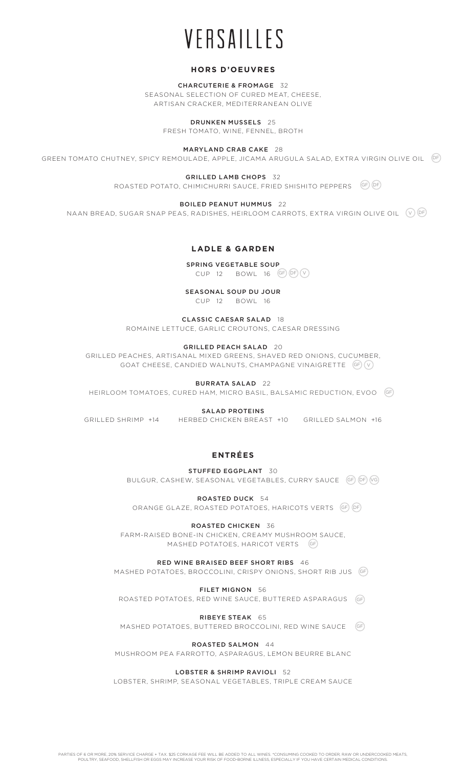# **HORS D'OEUVRES**

CHARCUTERIE & FROMAGE 32 SEASONAL SELECTION OF CURED MEAT, CHEESE, ARTISAN CRACKER, MEDITERRANEAN OLIVE

DRUNKEN MUSSELS 25

FRESH TOMATO, WINE, FENNEL, BROTH

MARYLAND CRAB CAKE 28

GREEN TOMATO CHUTNEY, SPICY REMOULADE, APPLE, JICAMA ARUGULA SALAD, EXTRA VIRGIN OLIVE OIL DF

GRILLED LAMB CHOPS 32

ROASTED POTATO, CHIMICHURRI SAUCE, FRIED SHISHITO PEPPERS (GF) (DF

BOILED PEANUT HUMMUS 22

NAAN BREAD, SUGAR SNAP PEAS, RADISHES, HEIRLOOM CARROTS, EXTRA VIRGIN OLIVE OIL (V)<sup>(DE</sup>

## **LADLE & GARDEN**

SPRING VEGETABLE SOUP

 $CUP$  12  $BOWL$  16  $GF(DF)(V)$ 

# SEASONAL SOUP DU JOUR

CUP 12 BOWL 16

CLASSIC CAESAR SALAD 18 ROMAINE LETTUCE, GARLIC CROUTONS, CAESAR DRESSING

## GRILLED PEACH SALAD 20

GRILLED PEACHES, ARTISANAL MIXED GREENS, SHAVED RED ONIONS, CUCUMBER, GOAT CHEESE, CANDIED WALNUTS, CHAMPAGNE VINAIGRETTE (GF)(V

### BURRATA SALAD 22

HEIRLOOM TOMATOES, CURED HAM, MICRO BASIL, BALSAMIC REDUCTION, EVOO GF

## SALAD PROTEINS

GRILLED SHRIMP +14 HERBED CHICKEN BREAST +10 GRILLED SALMON +16

# **ENTRÉES**

STUFFED EGGPLANT 30 BULGUR, CASHEW, SEASONAL VEGETABLES, CURRY SAUCE (GF) (DF) (VG

ROASTED DUCK 54 ORANGE GLAZE, ROASTED POTATOES, HARICOTS VERTS (GF) (DF

ROASTED CHICKEN 36 FARM-RAISED BONE-IN CHICKEN, CREAMY MUSHROOM SAUCE, MASHED POTATOES, HARICOT VERTS GF

RED WINE BRAISED BEEF SHORT RIBS 46 MASHED POTATOES, BROCCOLINI, CRISPY ONIONS, SHORT RIB JUS GF

FILET MIGNON 56 ROASTED POTATOES, RED WINE SAUCE, BUTTERED ASPARAGUS GF

RIBEYE STEAK 65

MASHED POTATOES, BUTTERED BROCCOLINI, RED WINE SAUCE GF

ROASTED SALMON 44

MUSHROOM PEA FARROTTO, ASPARAGUS, LEMON BEURRE BLANC

## LOBSTER & SHRIMP RAVIOLI 52

LOBSTER, SHRIMP, SEASONAL VEGETABLES, TRIPLE CREAM SAUCE

PARTIES OF 6 OR MORE, 20% SERVICE CHARGE + TAX. \$25 CORKAGE FEE WILL BE ADDED TO ALL WINES. \*CONSUMING COOKED TO ORDER, RAW OR UNDERCOOKED MEATS,<br>POULTRY, SEAFOOD, SHELLFISH OR EGGS MAY INCREASE YOUR RISK OF FOOD-BORNE ILL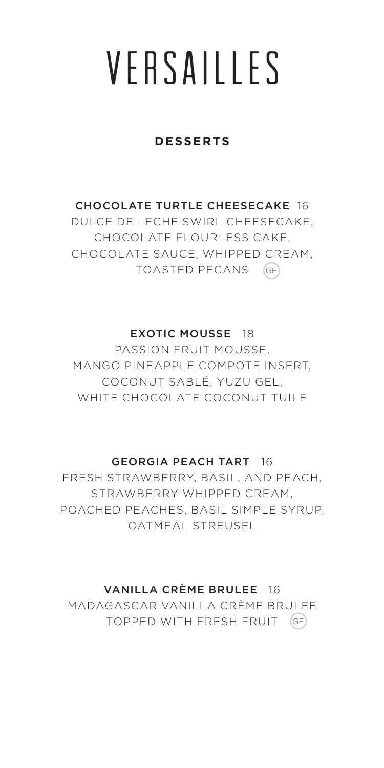# VFRSAILLES

### **DESSERTS**

#### CHOCOLATE TURTLE CHEESECAKE 16

DULCE DE LECHE SWIRL CHEESECAKE, CHOCOLATE FLOURLESS CAKE, CHOCOLATE SAUCE, WHIPPED CREAM, TOASTED PECANS GF

#### EXOTIC MOUSSE 18

PASSION FRUIT MOUSSE, MANGO PINEAPPLE COMPOTE INSERT, COCONUT SABLÉ, YUZU GEL, WHITE CHOCOLATE COCONUT TUILE

#### GEORGIA PEACH TART 16

FRESH STRAWBERRY, BASIL, AND PEACH, STRAWBERRY WHIPPED CREAM, POACHED PEACHES, BASIL SIMPLE SYRUP, OATMEAL STREUSEL

#### VANILLA CRÈME BRULEE 16

MADAGASCAR VANILLA CRÈME BRULEE TOPPED WITH FRESH FRUIT GF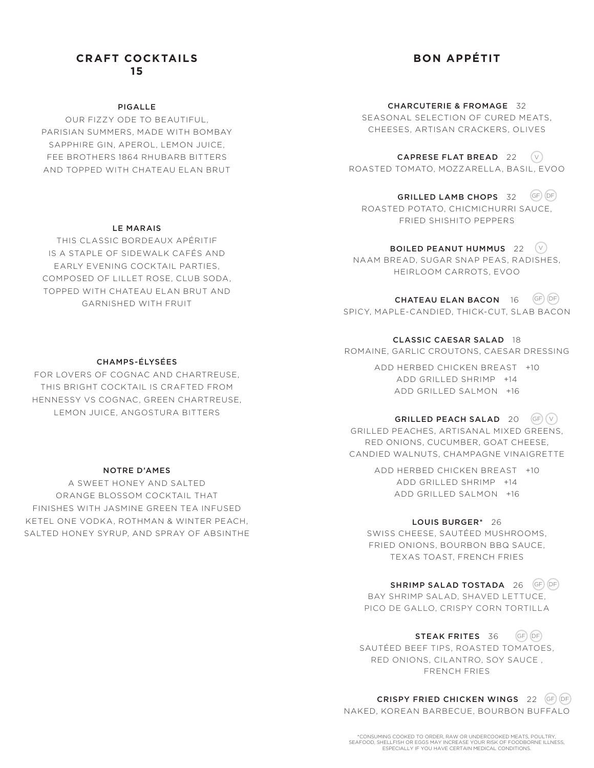## **CRAFT COCKTAILS 15**

#### PIGALLE

OUR FIZZY ODE TO BEAUTIFUL, PARISIAN SUMMERS, MADE WITH BOMBAY SAPPHIRE GIN, APEROL, LEMON JUICE, FEE BROTHERS 1864 RHUBARB BITTERS AND TOPPED WITH CHATEAU ELAN BRUT

### LE MARAIS

THIS CLASSIC BORDEAUX APÉRITIF IS A STAPLE OF SIDEWALK CAFÉS AND EARLY EVENING COCKTAIL PARTIES, COMPOSED OF LILLET ROSE, CLUB SODA, TOPPED WITH CHATEAU ELAN BRUT AND GARNISHED WITH FRUIT

# **BON APPÉTIT**

CHARCUTERIE & FROMAGE 32 SEASONAL SELECTION OF CURED MEATS, CHEESES, ARTISAN CRACKERS, OLIVES

CAPRESE FLAT BREAD 22  $\quad$   $\lor$ ROASTED TOMATO, MOZZARELLA, BASIL, EVOO

GRILLED LAMB CHOPS 32 ROASTED POTATO, CHICMICHURRI SAUCE, FRIED SHISHITO PEPPERS  $GF(DF)$ 

BOILED PEANUT HUMMUS 22 NAAM BREAD, SUGAR SNAP PEAS, RADISHES, HEIRLOOM CARROTS, EVOO  $(v)$ 

CHATEAU ELAN BACON 16 GF DF SPICY, MAPLE-CANDIED, THICK-CUT, SLAB BACON

CLASSIC CAESAR SALAD 18 ROMAINE, GARLIC CROUTONS, CAESAR DRESSING

> ADD HERBED CHICKEN BREAST +10 ADD GRILLED SHRIMP +14 ADD GRILLED SALMON +16

GRILLED PEACH SALAD 20 GRILLED PEACHES, ARTISANAL MIXED GREENS, RED ONIONS, CUCUMBER, GOAT CHEESE, CANDIED WALNUTS, CHAMPAGNE VINAIGRETTE  $(GF)(V)$ 

> ADD HERBED CHICKEN BREAST +10 ADD GRILLED SHRIMP +14 ADD GRILLED SALMON +16

> > LOUIS BURGER\* 26

SWISS CHEESE, SAUTÉED MUSHROOMS, FRIED ONIONS, BOURBON BBQ SAUCE, TEXAS TOAST, FRENCH FRIES

SHRIMP SALAD TOSTADA 26 GF OF BAY SHRIMP SALAD, SHAVED LETTUCE,

PICO DE GALLO, CRISPY CORN TORTILLA

STEAK FRITES 36 SAUTÉED BEEF TIPS, ROASTED TOMATOES, RED ONIONS, CILANTRO, SOY SAUCE , FRENCH FRIES  $(GF)$  $(DF)$ 

CRISPY FRIED CHICKEN WINGS 22 (GF) (DF NAKED, KOREAN BARBECUE, BOURBON BUFFALO

\*CONSUMING COOKED TO ORDER, RAW OR UNDERCOOKED MEATS, POULTRY, SEAFOOD, SHELLFISH OR EGGS MAY INCREASE YOUR RISK OF FOODBORNE ILLNESS, ESPECIALLY IF YOU HAVE CERTAIN MEDICAL CONDITIONS.

#### CHAMPS-ÉLYSÉES

FOR LOVERS OF COGNAC AND CHARTREUSE, THIS BRIGHT COCKTAIL IS CRAFTED FROM HENNESSY VS COGNAC, GREEN CHARTREUSE, LEMON JUICE, ANGOSTURA BITTERS

#### NOTRE D'AMES

A SWEET HONEY AND SALTED ORANGE BLOSSOM COCKTAIL THAT FINISHES WITH JASMINE GREEN TEA INFUSED KETEL ONE VODKA, ROTHMAN & WINTER PEACH, SALTED HONEY SYRUP, AND SPRAY OF ABSINTHE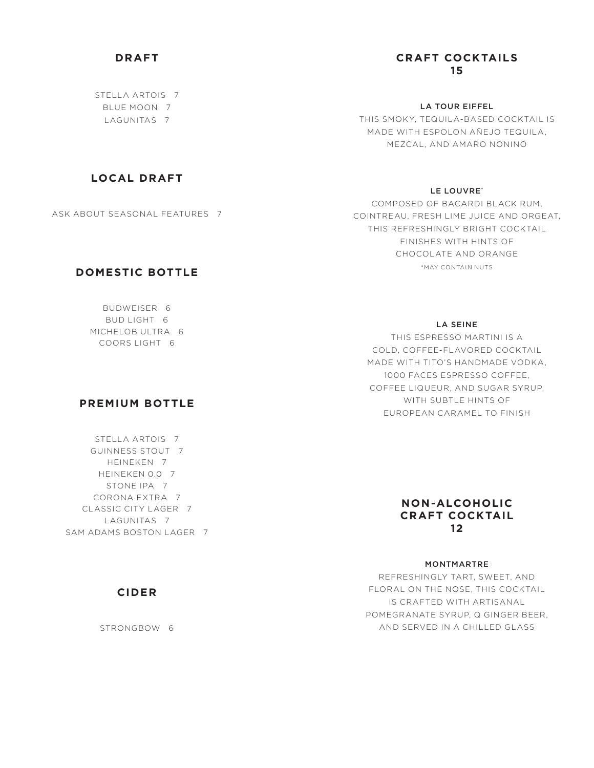# **DRAFT**

STELLA ARTOIS 7 BLUE MOON 7 LAGUNITAS 7

## **CRAFT COCKTAILS 15**

LA TOUR EIFFEL THIS SMOKY, TEQUILA-BASED COCKTAIL IS MADE WITH ESPOLON AÑEJO TEQUILA, MEZCAL, AND AMARO NONINO

# **LOCAL DRAFT**

ASK ABOUT SEASONAL FEATURES 7

## **DOMESTIC BOTTLE**

BUDWEISER 6 BUD LIGHT 6 MICHELOB ULTRA 6 COORS LIGHT 6

## **PREMIUM BOTTLE**

STELLA ARTOIS 7 GUINNESS STOUT 7 HEINEKEN 7 HEINEKEN 0.0 7 STONE IPA<sub>7</sub> CORONA EXTRA 7 CLASSIC CITY LAGER 7 LAGUNITAS 7 SAM ADAMS BOSTON LAGER 7

## **CIDER**

STRONGBOW 6

## LE LOUVRE'

COMPOSED OF BACARDI BLACK RUM, COINTREAU, FRESH LIME JUICE AND ORGEAT, THIS REFRESHINGLY BRIGHT COCKTAIL FINISHES WITH HINTS OF CHOCOLATE AND ORANGE \*MAY CONTAIN NUTS

#### LA SEINE

THIS ESPRESSO MARTINI IS A COLD, COFFEE-FLAVORED COCKTAIL MADE WITH TITO'S HANDMADE VODKA, 1000 FACES ESPRESSO COFFEE, COFFEE LIQUEUR, AND SUGAR SYRUP, WITH SUBTLE HINTS OF EUROPEAN CARAMEL TO FINISH

## **NON-ALCOHOLIC CRAFT COCKTAIL 12**

#### MONTMARTRE

REFRESHINGLY TART, SWEET, AND FLORAL ON THE NOSE, THIS COCKTAIL IS CRAFTED WITH ARTISANAL POMEGRANATE SYRUP, Q GINGER BEER, AND SERVED IN A CHILLED GLASS